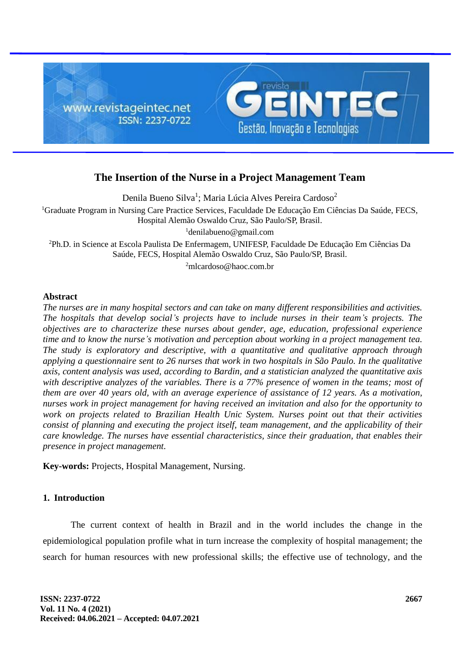

# **The Insertion of the Nurse in a Project Management Team**

Denila Bueno Silva<sup>1</sup>; Maria Lúcia Alves Pereira Cardoso<sup>2</sup> <sup>1</sup>Graduate Program in Nursing Care Practice Services, Faculdade De Educação Em Ciências Da Saúde, FECS, Hospital Alemão Oswaldo Cruz, São Paulo/SP, Brasil. <sup>1</sup>denilabueno@gmail.com <sup>2</sup>Ph.D. in Science at Escola Paulista De Enfermagem, UNIFESP, Faculdade De Educação Em Ciências Da Saúde, FECS, Hospital Alemão Oswaldo Cruz, São Paulo/SP, Brasil.

<sup>2</sup>mlcardoso@haoc.com.br

# **Abstract**

*The nurses are in many hospital sectors and can take on many different responsibilities and activities. The hospitals that develop social's projects have to include nurses in their team's projects. The objectives are to characterize these nurses about gender, age, education, professional experience time and to know the nurse's motivation and perception about working in a project management tea. The study is exploratory and descriptive, with a quantitative and qualitative approach through applying a questionnaire sent to 26 nurses that work in two hospitals in São Paulo. In the qualitative axis, content analysis was used, according to Bardin, and a statistician analyzed the quantitative axis with descriptive analyzes of the variables. There is a 77% presence of women in the teams; most of them are over 40 years old, with an average experience of assistance of 12 years. As a motivation, nurses work in project management for having received an invitation and also for the opportunity to work on projects related to Brazilian Health Unic System. Nurses point out that their activities consist of planning and executing the project itself, team management, and the applicability of their care knowledge. The nurses have essential characteristics, since their graduation, that enables their presence in project management.*

**Key-words:** Projects, Hospital Management, Nursing.

# **1. Introduction**

The current context of health in Brazil and in the world includes the change in the epidemiological population profile what in turn increase the complexity of hospital management; the search for human resources with new professional skills; the effective use of technology, and the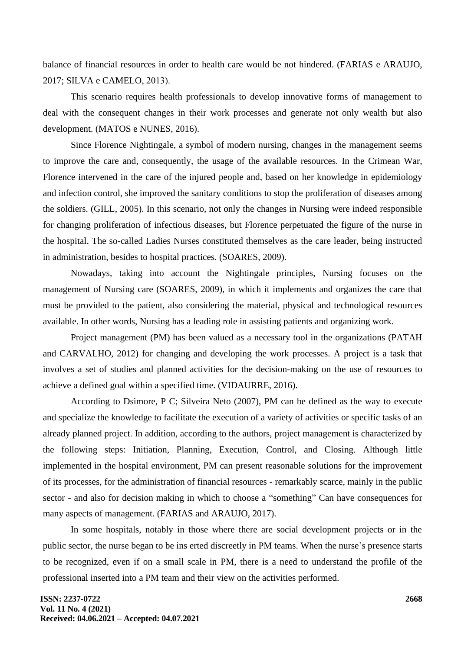balance of financial resources in order to health care would be not hindered. (FARIAS e ARAUJO, 2017; SILVA e CAMELO, 2013).

This scenario requires health professionals to develop innovative forms of management to deal with the consequent changes in their work processes and generate not only wealth but also development. (MATOS e NUNES, 2016).

Since Florence Nightingale, a symbol of modern nursing, changes in the management seems to improve the care and, consequently, the usage of the available resources. In the Crimean War, Florence intervened in the care of the injured people and, based on her knowledge in epidemiology and infection control, she improved the sanitary conditions to stop the proliferation of diseases among the soldiers. (GILL, 2005). In this scenario, not only the changes in Nursing were indeed responsible for changing proliferation of infectious diseases, but Florence perpetuated the figure of the nurse in the hospital. The so-called Ladies Nurses constituted themselves as the care leader, being instructed in administration, besides to hospital practices. (SOARES, 2009).

Nowadays, taking into account the Nightingale principles, Nursing focuses on the management of Nursing care (SOARES, 2009), in which it implements and organizes the care that must be provided to the patient, also considering the material, physical and technological resources available. In other words, Nursing has a leading role in assisting patients and organizing work.

Project management (PM) has been valued as a necessary tool in the organizations (PATAH and CARVALHO, 2012) for changing and developing the work processes. A project is a task that involves a set of studies and planned activities for the decision-making on the use of resources to achieve a defined goal within a specified time. (VIDAURRE, 2016).

According to Dsimore, P C; Silveira Neto (2007), PM can be defined as the way to execute and specialize the knowledge to facilitate the execution of a variety of activities or specific tasks of an already planned project. In addition, according to the authors, project management is characterized by the following steps: Initiation, Planning, Execution, Control, and Closing. Although little implemented in the hospital environment, PM can present reasonable solutions for the improvement of its processes, for the administration of financial resources - remarkably scarce, mainly in the public sector - and also for decision making in which to choose a "something" Can have consequences for many aspects of management. (FARIAS and ARAUJO, 2017).

In some hospitals, notably in those where there are social development projects or in the public sector, the nurse began to be ins erted discreetly in PM teams. When the nurse's presence starts to be recognized, even if on a small scale in PM, there is a need to understand the profile of the professional inserted into a PM team and their view on the activities performed.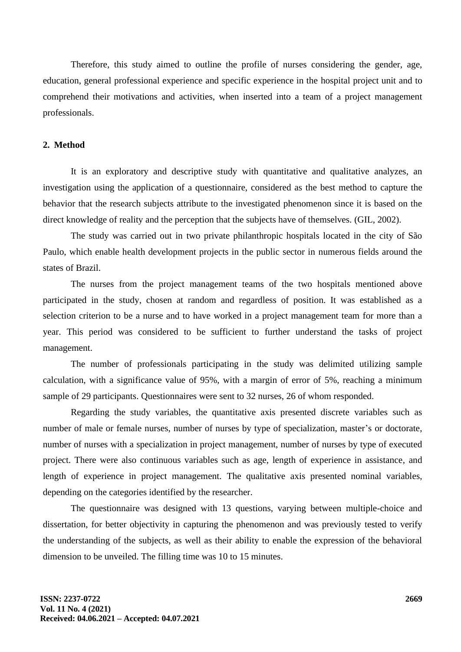Therefore, this study aimed to outline the profile of nurses considering the gender, age, education, general professional experience and specific experience in the hospital project unit and to comprehend their motivations and activities, when inserted into a team of a project management professionals.

#### **2. Method**

It is an exploratory and descriptive study with quantitative and qualitative analyzes, an investigation using the application of a questionnaire, considered as the best method to capture the behavior that the research subjects attribute to the investigated phenomenon since it is based on the direct knowledge of reality and the perception that the subjects have of themselves. (GIL, 2002).

The study was carried out in two private philanthropic hospitals located in the city of São Paulo, which enable health development projects in the public sector in numerous fields around the states of Brazil.

The nurses from the project management teams of the two hospitals mentioned above participated in the study, chosen at random and regardless of position. It was established as a selection criterion to be a nurse and to have worked in a project management team for more than a year. This period was considered to be sufficient to further understand the tasks of project management.

The number of professionals participating in the study was delimited utilizing sample calculation, with a significance value of 95%, with a margin of error of 5%, reaching a minimum sample of 29 participants. Questionnaires were sent to 32 nurses, 26 of whom responded.

Regarding the study variables, the quantitative axis presented discrete variables such as number of male or female nurses, number of nurses by type of specialization, master's or doctorate, number of nurses with a specialization in project management, number of nurses by type of executed project. There were also continuous variables such as age, length of experience in assistance, and length of experience in project management. The qualitative axis presented nominal variables, depending on the categories identified by the researcher.

The questionnaire was designed with 13 questions, varying between multiple-choice and dissertation, for better objectivity in capturing the phenomenon and was previously tested to verify the understanding of the subjects, as well as their ability to enable the expression of the behavioral dimension to be unveiled. The filling time was 10 to 15 minutes.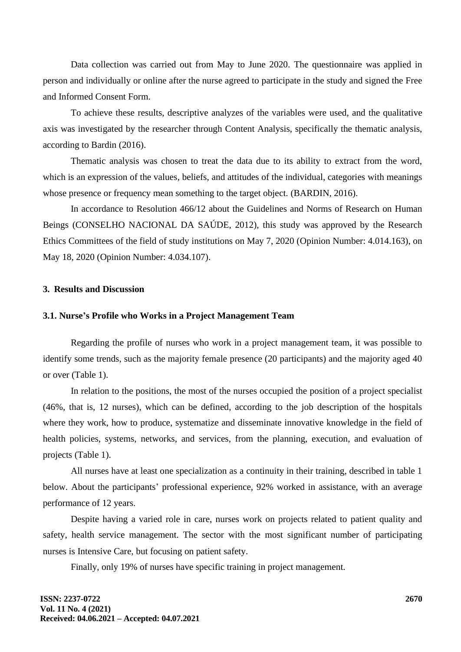Data collection was carried out from May to June 2020. The questionnaire was applied in person and individually or online after the nurse agreed to participate in the study and signed the Free and Informed Consent Form.

To achieve these results, descriptive analyzes of the variables were used, and the qualitative axis was investigated by the researcher through Content Analysis, specifically the thematic analysis, according to Bardin (2016).

Thematic analysis was chosen to treat the data due to its ability to extract from the word, which is an expression of the values, beliefs, and attitudes of the individual, categories with meanings whose presence or frequency mean something to the target object. (BARDIN, 2016).

In accordance to Resolution 466/12 about the Guidelines and Norms of Research on Human Beings (CONSELHO NACIONAL DA SAÚDE, 2012), this study was approved by the Research Ethics Committees of the field of study institutions on May 7, 2020 (Opinion Number: 4.014.163), on May 18, 2020 (Opinion Number: 4.034.107).

#### **3. Results and Discussion**

#### **3.1. Nurse's Profile who Works in a Project Management Team**

Regarding the profile of nurses who work in a project management team, it was possible to identify some trends, such as the majority female presence (20 participants) and the majority aged 40 or over (Table 1).

In relation to the positions, the most of the nurses occupied the position of a project specialist (46%, that is, 12 nurses), which can be defined, according to the job description of the hospitals where they work, how to produce, systematize and disseminate innovative knowledge in the field of health policies, systems, networks, and services, from the planning, execution, and evaluation of projects (Table 1).

All nurses have at least one specialization as a continuity in their training, described in table 1 below. About the participants' professional experience, 92% worked in assistance, with an average performance of 12 years.

Despite having a varied role in care, nurses work on projects related to patient quality and safety, health service management. The sector with the most significant number of participating nurses is Intensive Care, but focusing on patient safety.

Finally, only 19% of nurses have specific training in project management.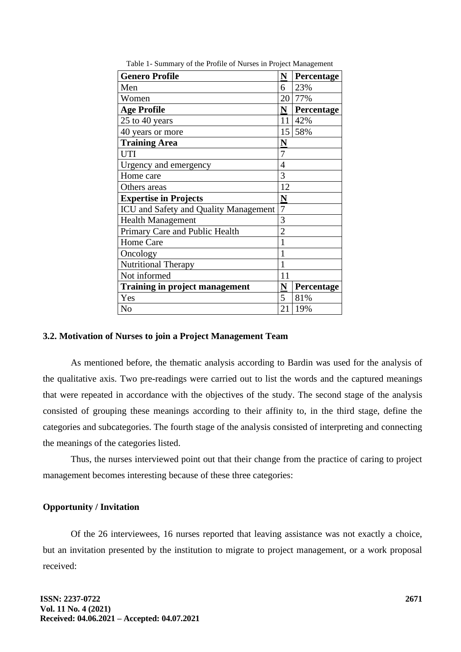| <b>Genero Profile</b>                        | N                       | Percentage |
|----------------------------------------------|-------------------------|------------|
| Men                                          | 6                       | 23%        |
| Women                                        | 20                      | 77%        |
| <b>Age Profile</b>                           | N                       | Percentage |
| 25 to 40 years                               | 11                      | 42%        |
| 40 years or more                             |                         | 15 58%     |
| <b>Training Area</b>                         | $\overline{\mathbf{N}}$ |            |
| <b>UTI</b>                                   | 7                       |            |
| Urgency and emergency                        | 4                       |            |
| Home care                                    | 3                       |            |
| Others areas                                 | 12                      |            |
| <b>Expertise in Projects</b>                 | $\overline{\mathbf{N}}$ |            |
| <b>ICU</b> and Safety and Quality Management | 7                       |            |
| <b>Health Management</b>                     | 3                       |            |
| Primary Care and Public Health               | $\overline{2}$          |            |
| Home Care                                    | 1                       |            |
| Oncology                                     | 1                       |            |
| <b>Nutritional Therapy</b>                   | 1                       |            |
| Not informed                                 | 11                      |            |
| <b>Training in project management</b>        | N                       | Percentage |
| Yes                                          | 5                       | 81%        |
| N <sub>o</sub>                               | 21                      | 19%        |

Table 1- Summary of the Profile of Nurses in Project Management

#### **3.2. Motivation of Nurses to join a Project Management Team**

As mentioned before, the thematic analysis according to Bardin was used for the analysis of the qualitative axis. Two pre-readings were carried out to list the words and the captured meanings that were repeated in accordance with the objectives of the study. The second stage of the analysis consisted of grouping these meanings according to their affinity to, in the third stage, define the categories and subcategories. The fourth stage of the analysis consisted of interpreting and connecting the meanings of the categories listed.

Thus, the nurses interviewed point out that their change from the practice of caring to project management becomes interesting because of these three categories:

## **Opportunity / Invitation**

Of the 26 interviewees, 16 nurses reported that leaving assistance was not exactly a choice, but an invitation presented by the institution to migrate to project management, or a work proposal received: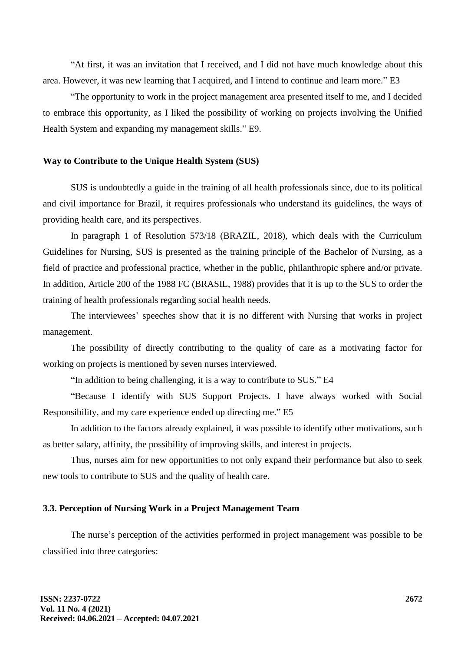"At first, it was an invitation that I received, and I did not have much knowledge about this area. However, it was new learning that I acquired, and I intend to continue and learn more." E3

"The opportunity to work in the project management area presented itself to me, and I decided to embrace this opportunity, as I liked the possibility of working on projects involving the Unified Health System and expanding my management skills." E9.

#### **Way to Contribute to the Unique Health System (SUS)**

SUS is undoubtedly a guide in the training of all health professionals since, due to its political and civil importance for Brazil, it requires professionals who understand its guidelines, the ways of providing health care, and its perspectives.

In paragraph 1 of Resolution 573/18 (BRAZIL, 2018), which deals with the Curriculum Guidelines for Nursing, SUS is presented as the training principle of the Bachelor of Nursing, as a field of practice and professional practice, whether in the public, philanthropic sphere and/or private. In addition, Article 200 of the 1988 FC (BRASIL, 1988) provides that it is up to the SUS to order the training of health professionals regarding social health needs.

The interviewees' speeches show that it is no different with Nursing that works in project management.

The possibility of directly contributing to the quality of care as a motivating factor for working on projects is mentioned by seven nurses interviewed.

"In addition to being challenging, it is a way to contribute to SUS." E4

"Because I identify with SUS Support Projects. I have always worked with Social Responsibility, and my care experience ended up directing me." E5

In addition to the factors already explained, it was possible to identify other motivations, such as better salary, affinity, the possibility of improving skills, and interest in projects.

Thus, nurses aim for new opportunities to not only expand their performance but also to seek new tools to contribute to SUS and the quality of health care.

## **3.3. Perception of Nursing Work in a Project Management Team**

The nurse's perception of the activities performed in project management was possible to be classified into three categories: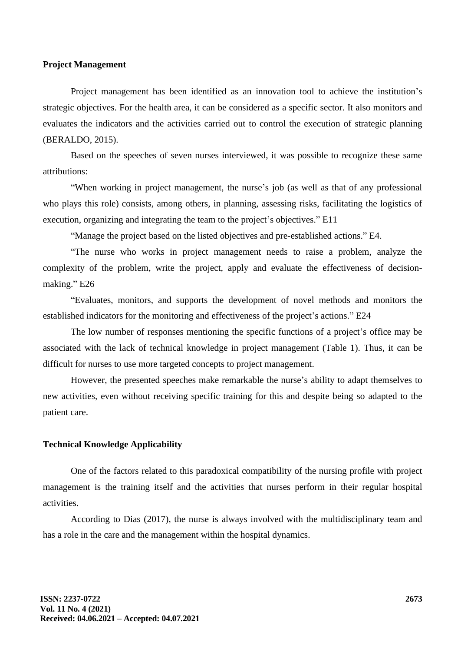#### **Project Management**

Project management has been identified as an innovation tool to achieve the institution's strategic objectives. For the health area, it can be considered as a specific sector. It also monitors and evaluates the indicators and the activities carried out to control the execution of strategic planning (BERALDO, 2015).

Based on the speeches of seven nurses interviewed, it was possible to recognize these same attributions:

"When working in project management, the nurse's job (as well as that of any professional who plays this role) consists, among others, in planning, assessing risks, facilitating the logistics of execution, organizing and integrating the team to the project's objectives." E11

"Manage the project based on the listed objectives and pre-established actions." E4.

"The nurse who works in project management needs to raise a problem, analyze the complexity of the problem, write the project, apply and evaluate the effectiveness of decisionmaking." E26

"Evaluates, monitors, and supports the development of novel methods and monitors the established indicators for the monitoring and effectiveness of the project's actions." E24

The low number of responses mentioning the specific functions of a project's office may be associated with the lack of technical knowledge in project management (Table 1). Thus, it can be difficult for nurses to use more targeted concepts to project management.

However, the presented speeches make remarkable the nurse's ability to adapt themselves to new activities, even without receiving specific training for this and despite being so adapted to the patient care.

#### **Technical Knowledge Applicability**

One of the factors related to this paradoxical compatibility of the nursing profile with project management is the training itself and the activities that nurses perform in their regular hospital activities.

According to Dias (2017), the nurse is always involved with the multidisciplinary team and has a role in the care and the management within the hospital dynamics.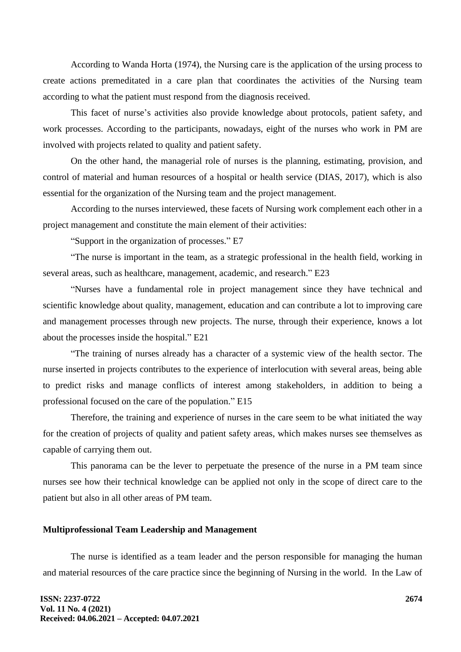According to Wanda Horta (1974), the Nursing care is the application of the ursing process to create actions premeditated in a care plan that coordinates the activities of the Nursing team according to what the patient must respond from the diagnosis received.

This facet of nurse's activities also provide knowledge about protocols, patient safety, and work processes. According to the participants, nowadays, eight of the nurses who work in PM are involved with projects related to quality and patient safety.

On the other hand, the managerial role of nurses is the planning, estimating, provision, and control of material and human resources of a hospital or health service (DIAS, 2017), which is also essential for the organization of the Nursing team and the project management.

According to the nurses interviewed, these facets of Nursing work complement each other in a project management and constitute the main element of their activities:

"Support in the organization of processes." E7

"The nurse is important in the team, as a strategic professional in the health field, working in several areas, such as healthcare, management, academic, and research." E23

"Nurses have a fundamental role in project management since they have technical and scientific knowledge about quality, management, education and can contribute a lot to improving care and management processes through new projects. The nurse, through their experience, knows a lot about the processes inside the hospital." E21

"The training of nurses already has a character of a systemic view of the health sector. The nurse inserted in projects contributes to the experience of interlocution with several areas, being able to predict risks and manage conflicts of interest among stakeholders, in addition to being a professional focused on the care of the population." E15

Therefore, the training and experience of nurses in the care seem to be what initiated the way for the creation of projects of quality and patient safety areas, which makes nurses see themselves as capable of carrying them out.

This panorama can be the lever to perpetuate the presence of the nurse in a PM team since nurses see how their technical knowledge can be applied not only in the scope of direct care to the patient but also in all other areas of PM team.

#### **Multiprofessional Team Leadership and Management**

The nurse is identified as a team leader and the person responsible for managing the human and material resources of the care practice since the beginning of Nursing in the world. In the Law of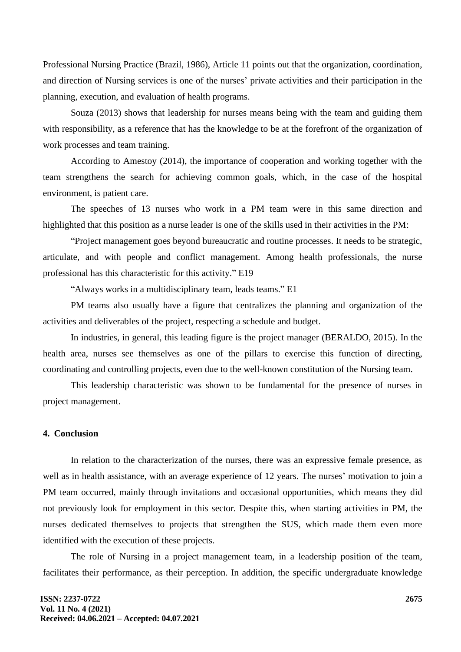Professional Nursing Practice (Brazil, 1986), Article 11 points out that the organization, coordination, and direction of Nursing services is one of the nurses' private activities and their participation in the planning, execution, and evaluation of health programs.

Souza (2013) shows that leadership for nurses means being with the team and guiding them with responsibility, as a reference that has the knowledge to be at the forefront of the organization of work processes and team training.

According to Amestoy (2014), the importance of cooperation and working together with the team strengthens the search for achieving common goals, which, in the case of the hospital environment, is patient care.

The speeches of 13 nurses who work in a PM team were in this same direction and highlighted that this position as a nurse leader is one of the skills used in their activities in the PM:

"Project management goes beyond bureaucratic and routine processes. It needs to be strategic, articulate, and with people and conflict management. Among health professionals, the nurse professional has this characteristic for this activity." E19

"Always works in a multidisciplinary team, leads teams." E1

PM teams also usually have a figure that centralizes the planning and organization of the activities and deliverables of the project, respecting a schedule and budget.

In industries, in general, this leading figure is the project manager (BERALDO, 2015). In the health area, nurses see themselves as one of the pillars to exercise this function of directing, coordinating and controlling projects, even due to the well-known constitution of the Nursing team.

This leadership characteristic was shown to be fundamental for the presence of nurses in project management.

## **4. Conclusion**

In relation to the characterization of the nurses, there was an expressive female presence, as well as in health assistance, with an average experience of 12 years. The nurses' motivation to join a PM team occurred, mainly through invitations and occasional opportunities, which means they did not previously look for employment in this sector. Despite this, when starting activities in PM, the nurses dedicated themselves to projects that strengthen the SUS, which made them even more identified with the execution of these projects.

The role of Nursing in a project management team, in a leadership position of the team, facilitates their performance, as their perception. In addition, the specific undergraduate knowledge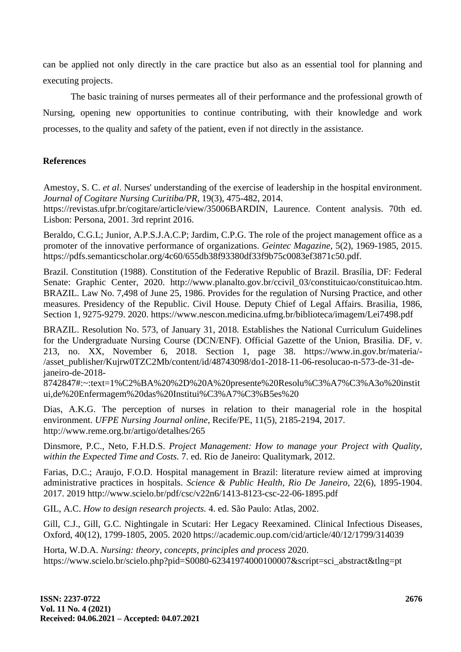can be applied not only directly in the care practice but also as an essential tool for planning and executing projects.

The basic training of nurses permeates all of their performance and the professional growth of Nursing, opening new opportunities to continue contributing, with their knowledge and work processes, to the quality and safety of the patient, even if not directly in the assistance.

# **References**

Amestoy, S. C. *et al*. Nurses' understanding of the exercise of leadership in the hospital environment. *Journal of Cogitare Nursing Curitiba/PR,* 19(3), 475-482, 2014.

https://revistas.ufpr.br/cogitare/article/view/35006BARDIN, Laurence. Content analysis. 70th ed. Lisbon: Persona, 2001. 3rd reprint 2016.

Beraldo, C.G.L; Junior, A.P.S.J.A.C.P; Jardim, C.P.G. The role of the project management office as a promoter of the innovative performance of organizations. *Geintec Magazine,* 5(2), 1969-1985, 2015. https://pdfs.semanticscholar.org/4c60/655db38f93380df33f9b75c0083ef3871c50.pdf.

Brazil. Constitution (1988). Constitution of the Federative Republic of Brazil. Brasília, DF: Federal Senate: Graphic Center, 2020. http://www.planalto.gov.br/ccivil 03/constituicao/constituicao.htm. BRAZIL. Law No. 7,498 of June 25, 1986. Provides for the regulation of Nursing Practice, and other measures. Presidency of the Republic. Civil House. Deputy Chief of Legal Affairs. Brasilia, 1986, Section 1, 9275-9279. 2020. https://www.nescon.medicina.ufmg.br/biblioteca/imagem/Lei7498.pdf

BRAZIL. Resolution No. 573, of January 31, 2018. Establishes the National Curriculum Guidelines for the Undergraduate Nursing Course (DCN/ENF). Official Gazette of the Union, Brasilia. DF, v. 213, no. XX, November 6, 2018. Section 1, page 38. https://www.in.gov.br/materia/- /asset\_publisher/Kujrw0TZC2Mb/content/id/48743098/do1-2018-11-06-resolucao-n-573-de-31-dejaneiro-de-2018-

8742847#:~:text=1%C2%BA%20%2D%20A%20presente%20Resolu%C3%A7%C3%A3o%20instit ui,de%20Enfermagem%20das%20Institui%C3%A7%C3%B5es%20

Dias, A.K.G. The perception of nurses in relation to their managerial role in the hospital environment. *UFPE Nursing Journal online,* Recife/PE, 11(5), 2185-2194, 2017. http://www.reme.org.br/artigo/detalhes/265

Dinsmore, P.C., Neto, F.H.D.S. *Project Management: How to manage your Project with Quality, within the Expected Time and Costs.* 7. ed. Rio de Janeiro: Qualitymark, 2012.

Farias, D.C.; Araujo, F.O.D. Hospital management in Brazil: literature review aimed at improving administrative practices in hospitals. *Science & Public Health, Rio De Janeiro,* 22(6), 1895-1904. 2017. 2019 http://www.scielo.br/pdf/csc/v22n6/1413-8123-csc-22-06-1895.pdf

GIL, A.C. *How to design research projects.* 4. ed. São Paulo: Atlas, 2002.

Gill, C.J., Gill, G.C. Nightingale in Scutari: Her Legacy Reexamined. Clinical Infectious Diseases, Oxford, 40(12), 1799-1805, 2005. 2020 https://academic.oup.com/cid/article/40/12/1799/314039

Horta, W.D.A. *Nursing: theory, concepts, principles and process* 2020. https://www.scielo.br/scielo.php?pid=S0080-62341974000100007&script=sci\_abstract&tlng=pt